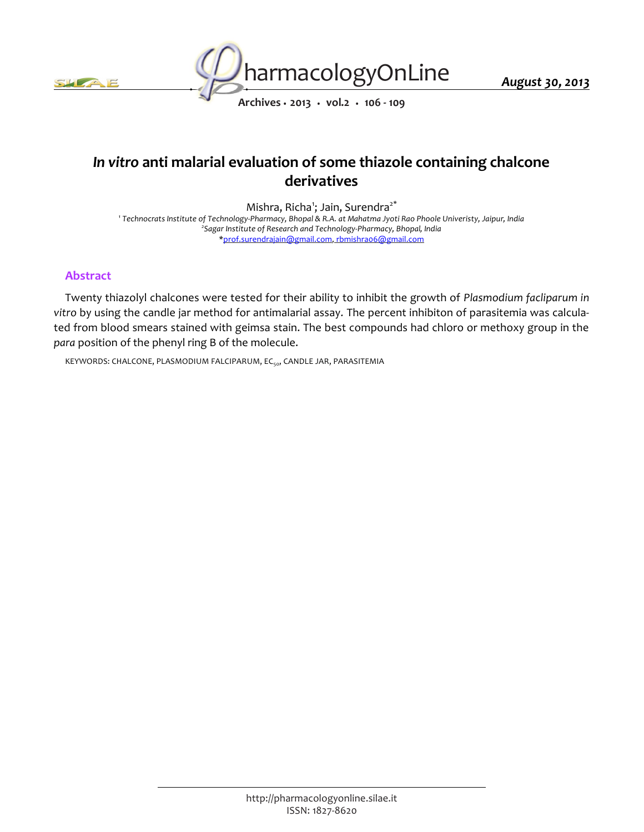



*Archives • 2013 • vol.2 • 106 - 109*

# *In vitro anti malarial evaluation of some thiazole containing chalcone derivatives*

*Mishra, Richa<sup>1</sup> ; Jain, Surendra2\**

*1 Technocrats Institute of Technology-Pharmacy, Bhopal & R.A. at Mahatma Jyoti Rao Phoole Univeristy, Jaipur, India 2 Sagar Institute of Research and Technology-Pharmacy, Bhopal, India \*prof.surendrajain@gmail.com, rbmishra06@gmail.com*

# *Abstract*

*Twenty thiazolyl chalcones were tested for their ability to inhibit the growth of Plasmodium facliparum in vitro by using the candle jar method for antimalarial assay. The percent inhibiton of parasitemia was calculated from blood smears stained with geimsa stain. The best compounds had chloro or methoxy group in the para position of the phenyl ring B of the molecule.*

*KEYWORDS: CHALCONE, PLASMODIUM FALCIPARUM, EC50, CANDLE JAR, PARASITEMIA*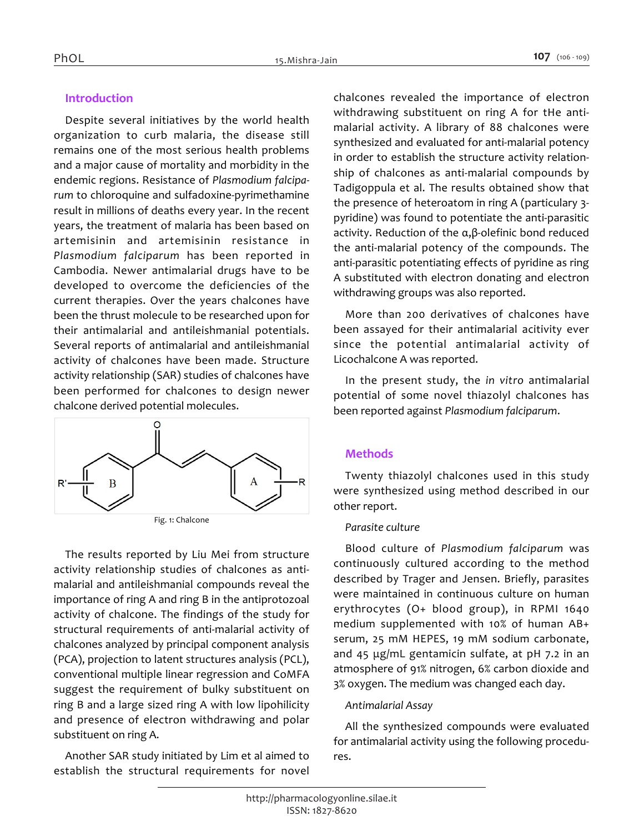# *Introduction*

*Despite several initiatives by the world health organization to curb malaria, the disease still remains one of the most serious health problems and a major cause of mortality and morbidity in the endemic regions. Resistance of Plasmodium falciparum to chloroquine and sulfadoxine-pyrimethamine result in millions of deaths every year. In the recent years, the treatment of malaria has been based on artemisinin and artemisinin resistance in Plasmodium falciparum has been reported in Cambodia. Newer antimalarial drugs have to be developed to overcome the deficiencies of the current therapies. Over the years chalcones have been the thrust molecule to be researched upon for their antimalarial and antileishmanial potentials. Several reports of antimalarial and antileishmanial activity of chalcones have been made. Structure activity relationship (SAR) studies of chalcones have been performed for chalcones to design newer chalcone derived potential molecules.*



*The results reported by Liu Mei from structure activity relationship studies of chalcones as antimalarial and antileishmanial compounds reveal the importance of ring A and ring B in the antiprotozoal activity of chalcone. The findings of the study for structural requirements of anti-malarial activity of chalcones analyzed by principal component analysis (PCA), projection to latent structures analysis (PCL), conventional multiple linear regression and CoMFA suggest the requirement of bulky substituent on ring B and a large sized ring A with low lipohilicity and presence of electron withdrawing and polar substituent on ring A.*

*Another SAR study initiated by Lim et al aimed to establish the structural requirements for novel* 

*chalcones revealed the importance of electron withdrawing substituent on ring A for tHe antimalarial activity. A library of 88 chalcones were synthesized and evaluated for anti-malarial potency in order to establish the structure activity relationship of chalcones as anti-malarial compounds by Tadigoppula et al. The results obtained show that the presence of heteroatom in ring A (particulary 3 pyridine) was found to potentiate the anti-parasitic activity. Reduction of the α,β-olefinic bond reduced the anti-malarial potency of the compounds. The anti-parasitic potentiating effects of pyridine as ring A substituted with electron donating and electron withdrawing groups was also reported.*

*More than 200 derivatives of chalcones have been assayed for their antimalarial acitivity ever since the potential antimalarial activity of Licochalcone A was reported.*

*In the present study, the in vitro antimalarial potential of some novel thiazolyl chalcones has been reported against Plasmodium falciparum.*

# *Methods*

*Twenty thiazolyl chalcones used in this study were synthesized using method described in our other report.*

### *Parasite culture*

*Blood culture of Plasmodium falciparum was continuously cultured according to the method described by Trager and Jensen. Briefly, parasites were maintained in continuous culture on human erythrocytes (O+ blood group), in RPMI 1640 medium supplemented with 10% of human AB+ serum, 25 mM HEPES, 19 mM sodium carbonate, and 45 μg/mL gentamicin sulfate, at pH 7.2 in an atmosphere of 91% nitrogen, 6% carbon dioxide and 3% oxygen. The medium was changed each day.*

# *Antimalarial Assay*

*All the synthesized compounds were evaluated for antimalarial activity using the following procedures.*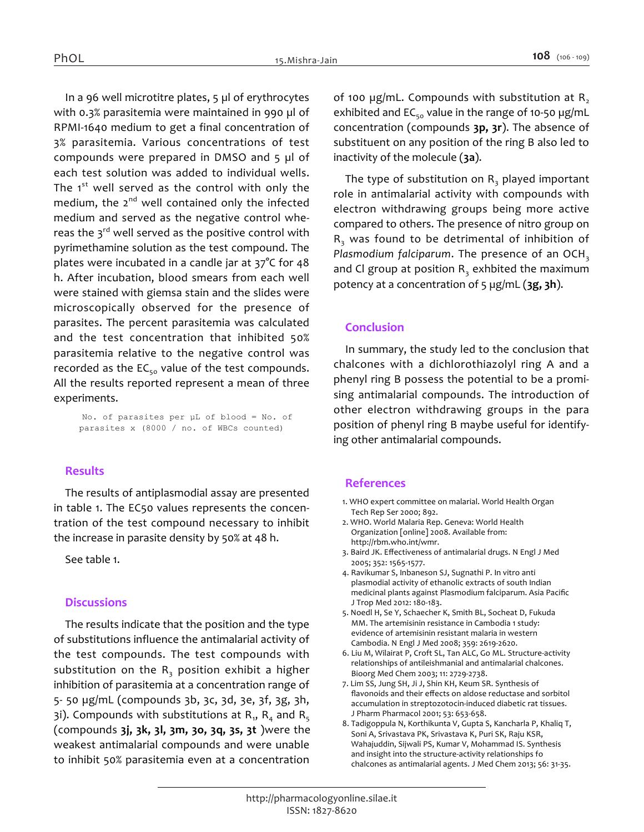*In a 96 well microtitre plates, 5 µl of erythrocytes with 0.3% parasitemia were maintained in 990 µl of RPMI-1640 medium to get a final concentration of 3% parasitemia. Various concentrations of test compounds were prepared in DMSO and 5 µl of each test solution was added to individual wells. The 1st well served as the control with only the medium, the 2nd well contained only the infected medium and served as the negative control whereas the 3rd well served as the positive control with pyrimethamine solution as the test compound. The plates were incubated in a candle jar at 37°C for 48 h. After incubation, blood smears from each well were stained with giemsa stain and the slides were microscopically observed for the presence of parasites. The percent parasitemia was calculated and the test concentration that inhibited 50% parasitemia relative to the negative control was recorded as the EC50 value of the test compounds. All the results reported represent a mean of three experiments.*

*No. of parasites per µL of blood = No. of parasites x (8000 / no. of WBCs counted)*

### *Results*

*The results of antiplasmodial assay are presented in table 1. The EC50 values represents the concentration of the test compound necessary to inhibit the increase in parasite density by 50% at 48 h.*

*See table 1.*

### *Discussions*

*The results indicate that the position and the type of substitutions influence the antimalarial activity of the test compounds. The test compounds with substitution on the R<sup>3</sup> position exhibit a higher inhibition of parasitemia at a concentration range of 5- 50 µg/mL (compounds 3b, 3c, 3d, 3e, 3f, 3g, 3h,*  3i). Compounds with substitutions at R<sub>1</sub>, R<sub>4</sub> and R<sub>5</sub> *(compounds 3j, 3k, 3l, 3m, 3o, 3q, 3s, 3t )were the weakest antimalarial compounds and were unable to inhibit 50% parasitemia even at a concentration* 

*of 100 µg/mL. Compounds with substitution at R<sup>2</sup> exhibited and EC50 value in the range of 10-50 µg/mL concentration (compounds 3p, 3r). The absence of substituent on any position of the ring B also led to inactivity of the molecule (3a).*

*The type of substitution on R<sup>3</sup> played important role in antimalarial activity with compounds with electron withdrawing groups being more active compared to others. The presence of nitro group on R3 was found to be detrimental of inhibition of Plasmodium falciparum. The presence of an OCH<sup>3</sup> and Cl group at position R<sup>3</sup> exhbited the maximum potency at a concentration of 5 µg/mL (3g, 3h).*

#### *Conclusion*

*In summary, the study led to the conclusion that chalcones with a dichlorothiazolyl ring A and a phenyl ring B possess the potential to be a promising antimalarial compounds. The introduction of other electron withdrawing groups in the para position of phenyl ring B maybe useful for identifying other antimalarial compounds.*

#### *References*

- *1. WHO expert committee on malarial. World Health Organ Tech Rep Ser 2000; 892.*
- *2. WHO. World Malaria Rep. Geneva: World Health Organization [online] 2008. Available from: http://rbm.who.int/wmr.*
- *3. Baird JK. Effectiveness of antimalarial drugs. N Engl J Med 2005; 352: 1565-1577.*
- *4. Ravikumar S, Inbaneson SJ, Sugnathi P. In vitro anti plasmodial activity of ethanolic extracts of south Indian medicinal plants against Plasmodium falciparum. Asia Pacific J Trop Med 2012: 180-183.*
- *5. Noedl H, Se Y, Schaecher K, Smith BL, Socheat D, Fukuda MM. The artemisinin resistance in Cambodia 1 study: evidence of artemisinin resistant malaria in western Cambodia. N Engl J Med 2008; 359: 2619-2620.*
- *6. Liu M, Wilairat P, Croft SL, Tan ALC, Go ML. Structure-activity relationships of antileishmanial and antimalarial chalcones. Bioorg Med Chem 2003; 11: 2729-2738.*
- *7. Lim SS, Jung SH, Ji J, Shin KH, Keum SR. Synthesis of flavonoids and their effects on aldose reductase and sorbitol accumulation in streptozotocin-induced diabetic rat tissues. J Pharm Pharmacol 2001; 53: 653-658.*
- *8. Tadigoppula N, Korthikunta V, Gupta S, Kancharla P, Khaliq T, Soni A, Srivastava PK, Srivastava K, Puri SK, Raju KSR, Wahajuddin, Sijwali PS, Kumar V, Mohammad IS. Synthesis and insight into the structure-activity relationships fo chalcones as antimalarial agents. J Med Chem 2013; 56: 31-35.*